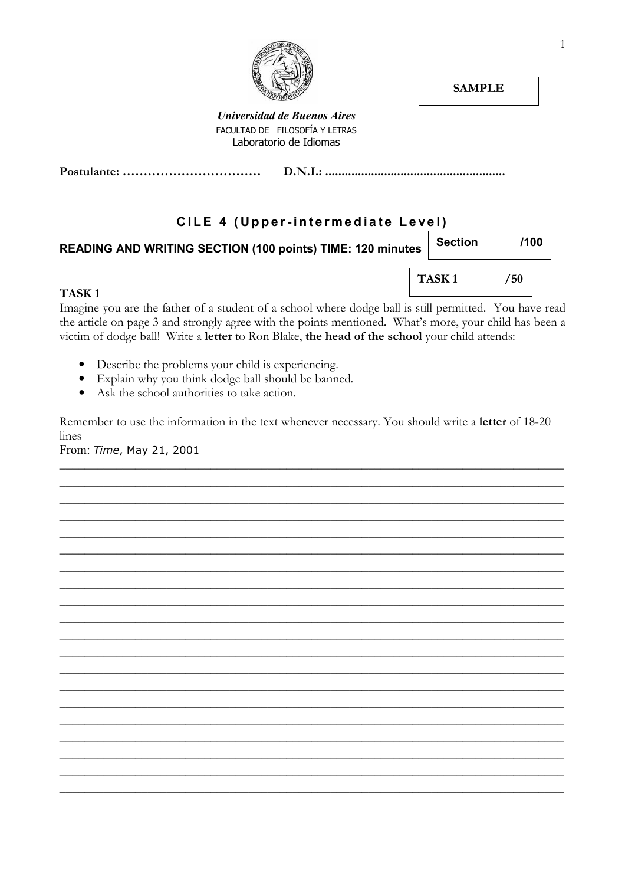

**SAMPLE** 

**Universidad de Buenos Aires** FACULTAD DE FILOSOFÍA Y LETRAS Laboratorio de Idiomas

### CILE 4 (Upper-intermediate Level)

| READING AND WRITING SECTION (100 points) TIME: 120 minutes | <b>Section</b>    | /100 |
|------------------------------------------------------------|-------------------|------|
| TASK <sub>1</sub>                                          | TASK <sub>1</sub> | 50   |

Imagine you are the father of a student of a school where dodge ball is still permitted. You have read the article on page 3 and strongly agree with the points mentioned. What's more, your child has been a victim of dodge ball! Write a letter to Ron Blake, the head of the school your child attends:

- Describe the problems your child is experiencing.
- Explain why you think dodge ball should be banned.
- Ask the school authorities to take action.

Remember to use the information in the text whenever necessary. You should write a letter of 18-20 lines

From: Time, May 21, 2001

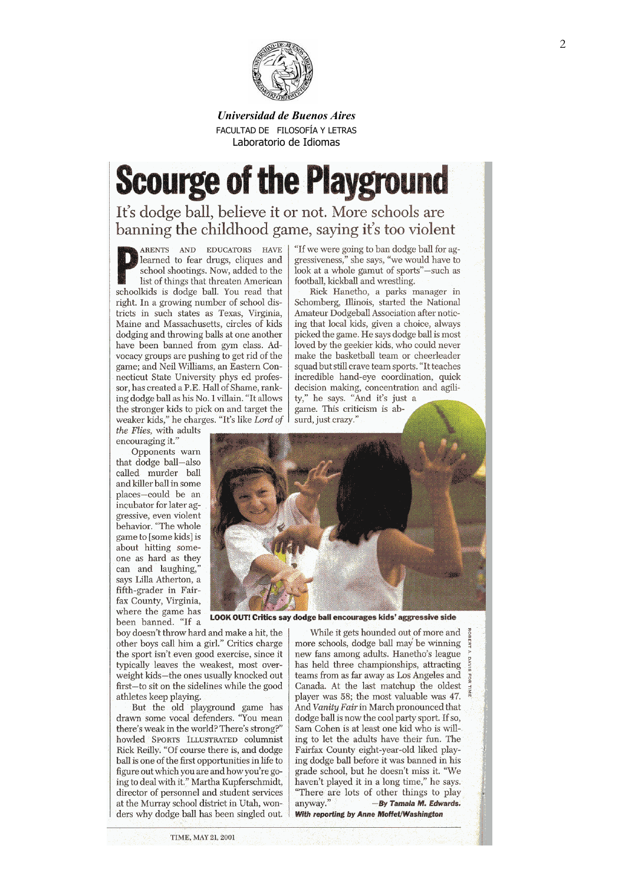

#### Universidad de Buenos Aires FACULTAD DE FILOSOFÍA Y LETRAS Laboratorio de Idiomas

# **Scourge of the Playground**

It's dodge ball, believe it or not. More schools are banning the childhood game, saying it's too violent

ARENTS AND EDUCATORS HAVE learned to fear drugs, cliques and school shootings. Now, added to the list of things that threaten American schoolkids is dodge ball. You read that right. In a growing number of school districts in such states as Texas, Virginia, Maine and Massachusetts, circles of kids dodging and throwing balls at one another have been banned from gym class. Advocacy groups are pushing to get rid of the game; and Neil Williams, an Eastern Connecticut State University phys ed professor, has created a P.E. Hall of Shame, ranking dodge ball as his No. 1 villain. "It allows the stronger kids to pick on and target the weaker kids," he charges. "It's like Lord of

the Flies, with adults encouraging it."

Opponents warn that dodge ball-also called murder ball and killer ball in some places-could be an incubator for later aggressive, even violent behavior. "The whole game to [some kids] is about hitting someone as hard as they can and laughing, says Lilla Atherton, a fifth-grader in Fairfax County, Virginia, where the game has been banned. "If a "If we were going to ban dodge ball for aggressiveness," she says, "we would have to look at a whole gamut of sports"-such as football, kickball and wrestling.

Rick Hanetho, a parks manager in Schomberg, Illinois, started the National Amateur Dodgeball Association after noticing that local kids, given a choice, always picked the game. He says dodge ball is most loved by the geekier kids, who could never make the basketball team or cheerleader squad but still crave team sports. "It teaches incredible hand-eye coordination, quick decision making, concentration and agility," he says. "And it's just a game. This criticism is absurd, just crazy.'



**LOOK OUT! Critics say dodge ball encourages kids' aggressive side** 

boy doesn't throw hard and make a hit, the other boys call him a girl." Critics charge the sport isn't even good exercise, since it typically leaves the weakest, most overweight kids-the ones usually knocked out first-to sit on the sidelines while the good athletes keep playing.

But the old playground game has drawn some vocal defenders. "You mean there's weak in the world? There's strong?" howled SPORTS ILLUSTRATED columnist Rick Reilly. "Of course there is, and dodge ball is one of the first opportunities in life to figure out which you are and how you're going to deal with it." Martha Kupferschmidt, director of personnel and student services at the Murray school district in Utah, wonders why dodge ball has been singled out. With reporting by Anne Moffet/Washington

While it gets hounded out of more and more schools, dodge ball may be winning new fans among adults. Hanetho's league has held three championships, attracting teams from as far away as Los Angeles and Canada. At the last matchup the oldest player was 58; the most valuable was 47. And Vanity Fair in March pronounced that dodge ball is now the cool party sport. If so, Sam Cohen is at least one kid who is willing to let the adults have their fun. The Fairfax County eight-year-old liked playing dodge ball before it was banned in his grade school, but he doesn't miss it. "We haven't played it in a long time," he says. "There are lots of other things to play anyway." -By Tamala M. Edwards.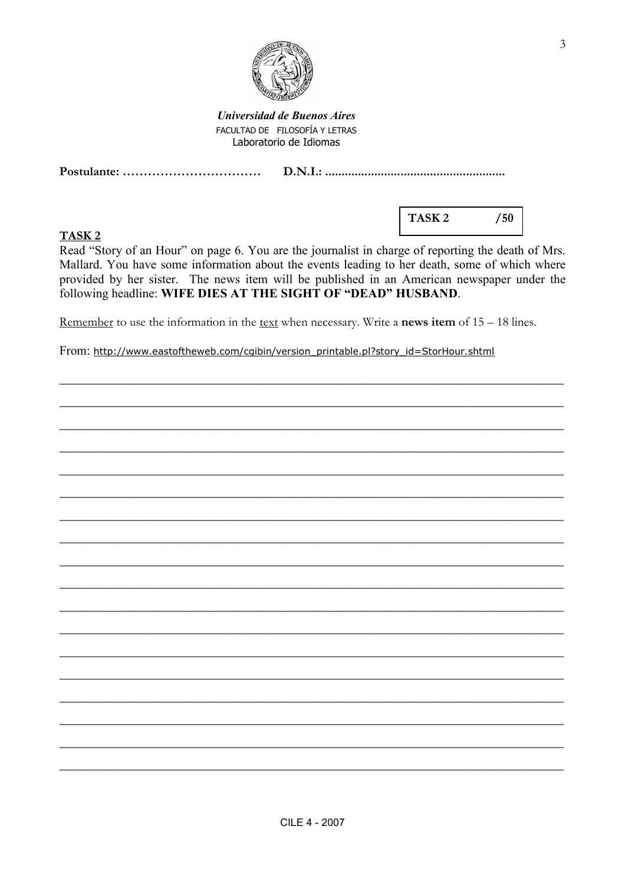

**Universidad de Buenos Aires** FACULTAD DE FILOSOFÍA Y LETRAS Laboratorio de Idiomas

### TASK<sub>2</sub>

TASK<sub>2</sub>  $/50$ 

Read "Story of an Hour" on page 6. You are the journalist in charge of reporting the death of Mrs. Mallard. You have some information about the events leading to her death, some of which where provided by her sister. The news item will be published in an American newspaper under the following headline: WIFE DIES AT THE SIGHT OF "DEAD" HUSBAND.

Remember to use the information in the <u>text</u> when necessary. Write a **news item** of  $15 - 18$  lines.

From: http://www.eastoftheweb.com/cgibin/version printable.pl?story id=StorHour.shtml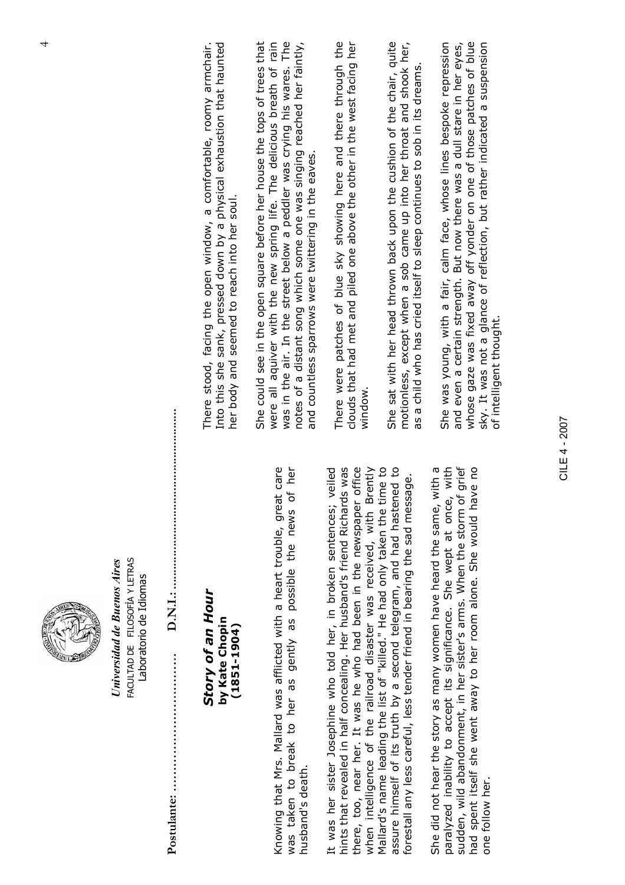Universidad de Buenos Aires Universidad de Buenos Aires ACULTAD DE FILOSOFÍA Y LETRAS FACULTAD DE FILOSOFÍA Y LETRAS Laboratorio de Idiomas Laboratorio de Idiomas

Postulante: …………………………… D.N.I.: ....................................................... 

## Story of an Hour Story of an Hour by Kate Chopin by Kate Chopin (1851-1904)  $(1851 - 1904)$

Knowing that Mrs. Mallard was afflicted with a heart trouble, great care was taken to break to her as gently as possible the news of her Knowing that Mrs. Mallard was afflicted with a heart trouble, great care was taken to break to her as gently as possible the news of her husband's death. husband's death.

It was her sister Josephine who told her, in broken sentences; veiled hints that revealed in half concealing. Her husband's friend Richards was there, too, near her. It was he who had been in the newspaper office when intelligence of the railroad disaster was received, with Brently Mallard's name leading the list of "killed." He had only taken the time to assure himself of its truth by a second telegram, and had hastened to hints that revealed in half concealing. Her husband's friend Richards was there, too, near her. It was he who had been in the newspaper office Mallard's name leading the list of "killed." He had only taken the time to It was her sister Josephine who told her, in broken sentences; veiled when intelligence of the railroad disaster was received, with Brently assure himself of its truth by a second telegram, and had hastened to forestall any less careful, less tender friend in bearing the sad message. forestall any less careful, less tender friend in bearing the sad message.

She did not hear the story as many women have heard the same, with a paralyzed inability to accept its significance. She wept at once, with sudden, wild abandonment, in her sister's arms. When the storm of grief had spent itself she went away to her room alone. She would have no She did not hear the story as many women have heard the same, with a paralyzed inability to accept its significance. She wept at once, with sudden, wild abandonment, in her sister's arms. When the storm of grief had spent itself she went away to her room alone. She would have no one follow her. one follow her.

There stood, facing the open window, a comfortable, roomy armchair. Into this she sank, pressed down by a physical exhaustion that haunted Into this she sank, pressed down by a physical exhaustion that haunted There stood, facing the open window, a comfortable, roomy armchair. her body and seemed to reach into her soul. her body and seemed to reach into her soul.

She could see in the open square before her house the tops of trees that were all aquiver with the new spring life. The delicious breath of rain was in the air. In the street below a peddler was crying his wares. The notes of a distant song which some one was singing reached her faintly, was in the air. In the street below a peddler was crying his wares. The She could see in the open square before her house the tops of trees that were all aquiver with the new spring life. The delicious breath of rain notes of a distant song which some one was singing reached her faintly, and countless sparrows were twittering in the eaves. and countless sparrows were twittering in the eaves.

There were patches of blue sky showing here and there through the clouds that had met and piled one above the other in the west facing her There were patches of blue sky showing here and there through the clouds that had met and piled one above the other in the west facing her window.

She sat with her head thrown back upon the cushion of the chair, quite motionless, except when a sob came up into her throat and shook her, She sat with her head thrown back upon the cushion of the chair, quite motionless, except when a sob came up into her throat and shook her, as a child who has cried itself to sleep continues to sob in its dreams. as a child who has cried itself to sleep continues to sob in its dreams.

She was young, with a fair, calm face, whose lines bespoke repression and even a certain strength. But now there was a dull stare in her eyes, whose gaze was fixed away off yonder on one of those patches of blue sky. It was not a glance of reflection, but rather indicated a suspension whose gaze was fixed away off yonder on one of those patches of blue sky. It was not a glance of reflection, but rather indicated a suspension<br>of intelligent thought. and even a certain strength. But now there was a dull stare in her eyes, She was young, with a fair, calm face, whose lines bespoke repression of intelligent thought.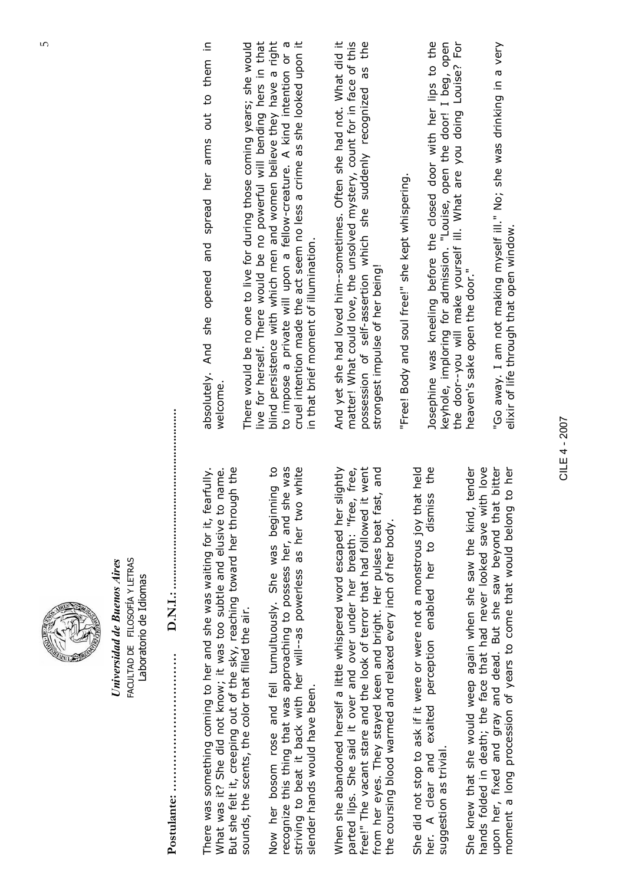Universidad de Buenos Aires Universidad de Buenos Aires ACULTAD DE FILOSOFÍA Y LETRAS FACULTAD DE FILOSOFÍA Y LETRAS Laboratorio de Idiomas Laboratorio de Idiomas

Postulante: …………………………… D.N.I.: ....................................................... 

There was something coming to her and she was waiting for it, fearfully. What was it? She did not know; it was too subtle and elusive to name. But she felt it, creeping out of the sky, reaching toward her through the But she felt it, creeping out of the sky, reaching toward her through the There was something coming to her and she was waiting for it, fearfully. What was it? She did not know; it was too subtle and elusive to name. sounds, the scents, the color that filled the air. sounds, the scents, the color that filled the air.

Now her bosom rose and fell tumultuously. She was beginning to recognize this thing that was approaching to possess her, and she was striving to beat it back with her will--as powerless as her two white Now her bosom rose and fell tumultuously. She was beginning to recognize this thing that was approaching to possess her, and she was striving to beat it back with her will--as powerless as her two white slender hands would have been. slender hands would have been.

When she abandoned herself a little whispered word escaped her slightly parted lips. She said it over and over under her breath: "free, free, free!" The vacant stare and the look of terror that had followed it went from her eyes. They stayed keen and bright. Her pulses beat fast, and free!" The vacant stare and the look of terror that had followed it went from her eyes. They stayed keen and bright. Her pulses beat fast, and When she abandoned herself a little whispered word escaped her slightly parted lips. She said it over and over under her breath: "free, free, the coursing blood warmed and relaxed every inch of her body. the coursing blood warmed and relaxed every inch of her body.

She did not stop to ask if it were or were not a monstrous joy that held her. A clear and exalted perception enabled her to dismiss the She did not stop to ask if it were or were not a monstrous joy that held her. A clear and exalted perception enabled her to dismiss the suggestion as trivial. suggestion as trivial.

She knew that she would weep again when she saw the kind, tender hands folded in death; the face that had never looked save with love upon her, fixed and gray and dead. But she saw beyond that bitter upon her, fixed and gray and dead. But she saw beyond that bitter moment a long procession of years to come that would belong to her She knew that she would weep again when she saw the kind, tender hands folded in death; the face that had never looked save with love moment a long procession of years to come that would belong to her

absolutely. And she opened and spread her arms out to them in absolutely. And she opened and spread her arms out to them in welcome.

There would be no one to live for during those coming years; she would live for herself. There would be no powerful will bending hers in that blind persistence with which men and women believe they have a right blind persistence with which men and women believe they have a right to impose a private will upon a fellow-creature. A kind intention or a<br>cruel intention made the act seem no less a crime as she looked upon it to impose a private will upon a fellow-creature. A kind intention or a cruel intention made the act seem no less a crime as she looked upon it live for herself. There would be no powerful will bending hers in that There would be no one to live for during those coming years; she would in that brief moment of illumination. in that brief moment of illumination.

And yet she had loved him--sometimes. Often she had not. What did it matter! What could love, the unsolved mystery, count for in face of this possession of self-assertion which she suddenly recognized as the And yet she had loved him--sometimes. Often she had not. What did it matter! What could love, the unsolved mystery, count for in face of this possession of self-assertion which she suddenly recognized as the strongest impulse of her being! strongest impulse of her being!

"Free! Body and soul free!" she kept whispering. "Free! Body and soul free!" she kept whispering.

Josephine was kneeling before the closed door with her lips to the keyhole, imploring for admission. "Louise, open the door! I beg, open the door--you will make yourself ill. What are you doing Louise? For Josephine was kneeling before the closed door with her lips to the keyhole, imploring for admission. "Louise, open the door! I beg, open the door--you will make yourself ill. What are you doing Louise? For heaven's sake open the door." heaven's sake open the door."

"Go away. I am not making myself ill." No; she was drinking in a very "Go away. I am not making myself ill." No; she was drinking in a very elixir of life through that open window. elixir of life through that open window.